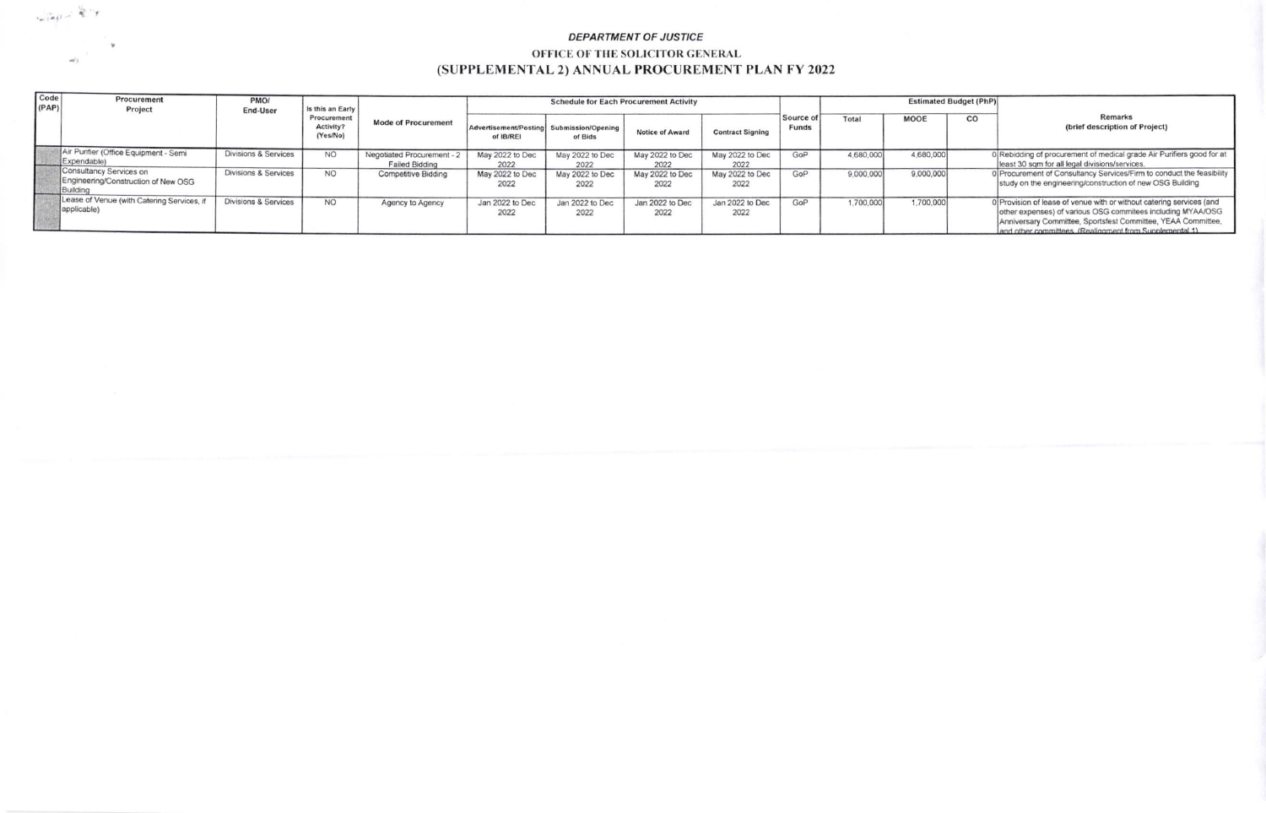## DEPARTMENT OF JUSTICE OFFICE OF THE SOLICITOR GENERAL (SUPPLEMENTAL 2) ANNUAL PROCUREMENT PLAN FY 2022

 $\label{eq:2.1} \frac{1}{\left(\frac{1}{\sigma}\right)^{1/2}}\int\limits_{-\infty}^{\infty}\frac{1}{\sigma}\int\limits_{-\infty}^{\infty}\frac{1}{\sigma}\int\limits_{-\infty}^{\infty}\frac{1}{\sigma}\int\limits_{-\infty}^{\infty}\frac{1}{\sigma}\int\limits_{-\infty}^{\infty}\frac{1}{\sigma}\int\limits_{-\infty}^{\infty}\frac{1}{\sigma}\int\limits_{-\infty}^{\infty}\frac{1}{\sigma}\int\limits_{-\infty}^{\infty}\frac{1}{\sigma}\int\limits_{-\infty}^{\infty}\frac{1}{\sigma}\int\limits_{-\infty}$ 

| Code<br>(PAP) | Procurement<br>Project                                                     | PMO/<br>End-User                | Is this an Early<br>Procurement<br>Activity?<br>(Yes/No) | <b>Mode of Procurement</b>                      | <b>Schedule for Each Procurement Activity</b>         |                         |                         |                         |                           | <b>Estimated Budget (PhP)</b> |           |    |                                                                                                                                                                                                                                                               |
|---------------|----------------------------------------------------------------------------|---------------------------------|----------------------------------------------------------|-------------------------------------------------|-------------------------------------------------------|-------------------------|-------------------------|-------------------------|---------------------------|-------------------------------|-----------|----|---------------------------------------------------------------------------------------------------------------------------------------------------------------------------------------------------------------------------------------------------------------|
|               |                                                                            |                                 |                                                          |                                                 | Advertisement/Posting Submission/Opening<br>of IB/REI | of Bids                 | <b>Notice of Award</b>  | <b>Contract Signing</b> | Source of<br><b>Funds</b> | Total                         | MOOE      | CO | <b>Remarks</b><br>(brief description of Project)                                                                                                                                                                                                              |
|               | Air Purifier (Office Equipment - Semi<br>Expendable)                       | <b>Divisions &amp; Services</b> | <b>NO</b>                                                | Negotiated Procurement<br><b>Failed Bidding</b> | May 2022 to Dec<br>2022                               | May 2022 to Dec<br>2022 | May 2022 to Dec<br>2022 | May 2022 to Dec<br>2022 | GoP                       | 4,680,000                     | 4,680,000 |    | 0 Rebidding of procurement of medical grade Air Purifiers good for at<br>least 30 sqm for all legal divisions/services.                                                                                                                                       |
|               | Consultancy Services on<br>Engineering/Construction of New OSG<br>Building | Divisions & Services            | <b>NO</b>                                                | <b>Competitive Bidding</b>                      | May 2022 to Dec<br>2022                               | May 2022 to Dec<br>2022 | May 2022 to Dec<br>2022 | May 2022 to Dec<br>2022 | GoP                       | 9,000,000                     | 9,000,000 |    | 0 Procurement of Consultancy Services/Firm to conduct the feasibility<br>study on the engineering/construction of new OSG Building                                                                                                                            |
|               | Lease of Venue (with Catering Services, if<br>applicable)                  | Divisions & Services            | <b>NO</b>                                                | Agency to Agency                                | Jan 2022 to Dec<br>2022                               | Jan 2022 to Dec<br>2022 | Jan 2022 to Dec<br>2022 | Jan 2022 to Dec<br>2022 | GoP                       | 1,700,000                     | 1,700,000 |    | 0 Provision of lease of venue with or without catering services (and<br>other expenses) of various OSG commitees including MYAA/OSG<br>Anniversary Committee, Sportsfest Committee, YEAA Committee,<br>and other committees (Realignment from Supplemental 1) |